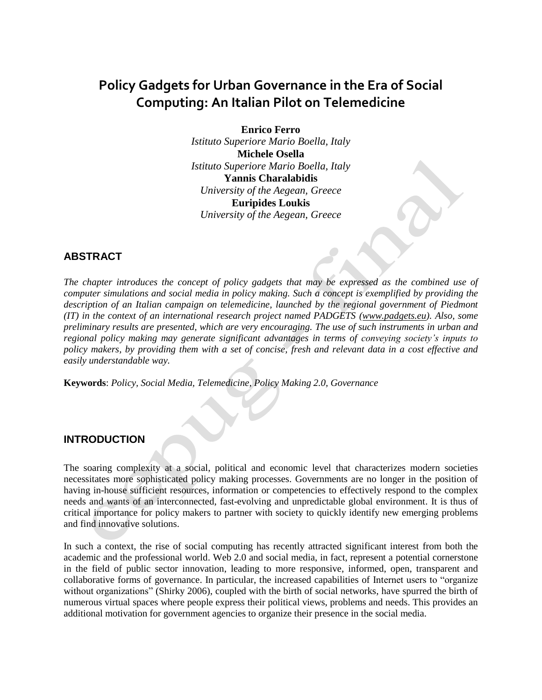# **Policy Gadgets for Urban Governance in the Era of Social Computing: An Italian Pilot on Telemedicine**

**Enrico Ferro** *Istituto Superiore Mario Boella, Italy* **Michele Osella** *Istituto Superiore Mario Boella, Italy* **Yannis Charalabidis** *University of the Aegean, Greece* **Euripides Loukis** *University of the Aegean, Greece*

# **ABSTRACT**

*The chapter introduces the concept of policy gadgets that may be expressed as the combined use of computer simulations and social media in policy making. Such a concept is exemplified by providing the description of an Italian campaign on telemedicine, launched by the regional government of Piedmont (IT) in the context of an international research project named PADGETS [\(www.padgets.eu\)](http://www.padgets.eu/). Also, some preliminary results are presented, which are very encouraging. The use of such instruments in urban and regional policy making may generate significant advantages in terms of conveying society's inputs to policy makers, by providing them with a set of concise, fresh and relevant data in a cost effective and easily understandable way.*

**Keywords**: *Policy, Social Media, Telemedicine, Policy Making 2.0, Governance*

#### **INTRODUCTION**

The soaring complexity at a social, political and economic level that characterizes modern societies necessitates more sophisticated policy making processes. Governments are no longer in the position of having in-house sufficient resources, information or competencies to effectively respond to the complex needs and wants of an interconnected, fast-evolving and unpredictable global environment. It is thus of critical importance for policy makers to partner with society to quickly identify new emerging problems and find innovative solutions.

In such a context, the rise of social computing has recently attracted significant interest from both the academic and the professional world. Web 2.0 and social media, in fact, represent a potential cornerstone in the field of public sector innovation, leading to more responsive, informed, open, transparent and collaborative forms of governance. In particular, the increased capabilities of Internet users to "organize without organizations" (Shirky 2006), coupled with the birth of social networks, have spurred the birth of numerous virtual spaces where people express their political views, problems and needs. This provides an additional motivation for government agencies to organize their presence in the social media.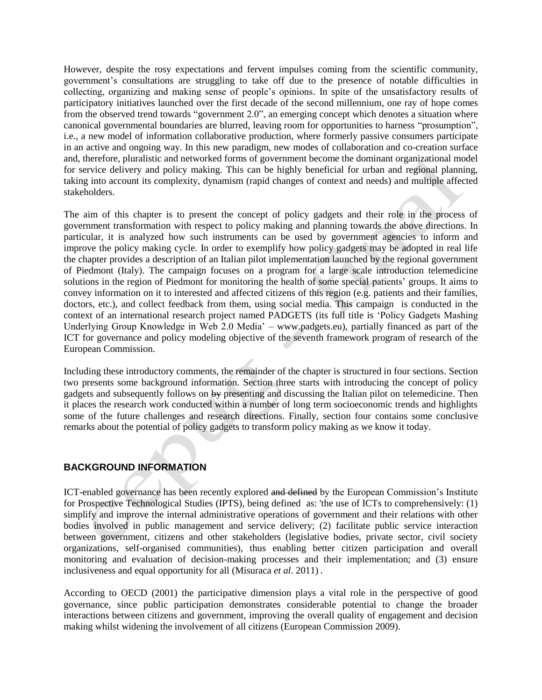However, despite the rosy expectations and fervent impulses coming from the scientific community, government"s consultations are struggling to take off due to the presence of notable difficulties in collecting, organizing and making sense of people"s opinions. In spite of the unsatisfactory results of participatory initiatives launched over the first decade of the second millennium, one ray of hope comes from the observed trend towards "government 2.0", an emerging concept which denotes a situation where canonical governmental boundaries are blurred, leaving room for opportunities to harness "prosumption", i.e., a new model of information collaborative production, where formerly passive consumers participate in an active and ongoing way. In this new paradigm, new modes of collaboration and co-creation surface and, therefore, pluralistic and networked forms of government become the dominant organizational model for service delivery and policy making. This can be highly beneficial for urban and regional planning, taking into account its complexity, dynamism (rapid changes of context and needs) and multiple affected stakeholders.

The aim of this chapter is to present the concept of policy gadgets and their role in the process of government transformation with respect to policy making and planning towards the above directions. In particular, it is analyzed how such instruments can be used by government agencies to inform and improve the policy making cycle. In order to exemplify how policy gadgets may be adopted in real life the chapter provides a description of an Italian pilot implementation launched by the regional government of Piedmont (Italy). The campaign focuses on a program for a large scale introduction telemedicine solutions in the region of Piedmont for monitoring the health of some special patients" groups. It aims to convey information on it to interested and affected citizens of this region (e.g. patients and their families, doctors, etc.), and collect feedback from them, using social media. This campaign is conducted in the context of an international research project named PADGETS (its full title is "Policy Gadgets Mashing Underlying Group Knowledge in Web 2.0 Media" – www.padgets.eu), partially financed as part of the ICT for governance and policy modeling objective of the seventh framework program of research of the European Commission.

Including these introductory comments, the remainder of the chapter is structured in four sections. Section two presents some background information. Section three starts with introducing the concept of policy gadgets and subsequently follows on by presenting and discussing the Italian pilot on telemedicine. Then it places the research work conducted within a number of long term socioeconomic trends and highlights some of the future challenges and research directions. Finally, section four contains some conclusive remarks about the potential of policy gadgets to transform policy making as we know it today.

# **BACKGROUND INFORMATION**

ICT-enabled governance has been recently explored and defined by the European Commission's Institute for Prospective Technological Studies (IPTS), being defined as: 'the use of ICTs to comprehensively: (1) simplify and improve the internal administrative operations of government and their relations with other bodies involved in public management and service delivery; (2) facilitate public service interaction between government, citizens and other stakeholders (legislative bodies, private sector, civil society organizations, self-organised communities), thus enabling better citizen participation and overall monitoring and evaluation of decision-making processes and their implementation; and (3) ensure inclusiveness and equal opportunity for all (Misuraca *et al*. 2011) .

According to OECD (2001) the participative dimension plays a vital role in the perspective of good governance, since public participation demonstrates considerable potential to change the broader interactions between citizens and government, improving the overall quality of engagement and decision making whilst widening the involvement of all citizens (European Commission 2009).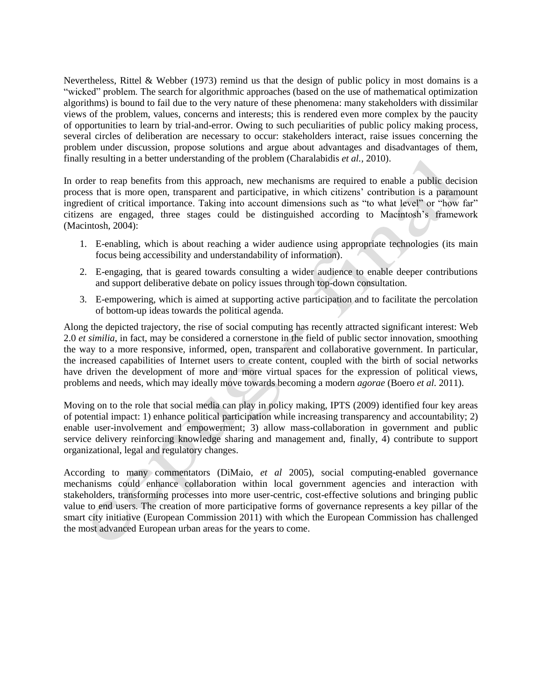Nevertheless, Rittel & Webber (1973) remind us that the design of public policy in most domains is a "wicked" problem. The search for algorithmic approaches (based on the use of mathematical optimization algorithms) is bound to fail due to the very nature of these phenomena: many stakeholders with dissimilar views of the problem, values, concerns and interests; this is rendered even more complex by the paucity of opportunities to learn by trial-and-error. Owing to such peculiarities of public policy making process, several circles of deliberation are necessary to occur: stakeholders interact, raise issues concerning the problem under discussion, propose solutions and argue about advantages and disadvantages of them, finally resulting in a better understanding of the problem (Charalabidis *et al.,* 2010).

In order to reap benefits from this approach, new mechanisms are required to enable a public decision process that is more open, transparent and participative, in which citizens" contribution is a paramount ingredient of critical importance. Taking into account dimensions such as "to what level" or "how far" citizens are engaged, three stages could be distinguished according to Macintosh"s framework (Macintosh, 2004):

- 1. E-enabling, which is about reaching a wider audience using appropriate technologies (its main focus being accessibility and understandability of information).
- 2. E-engaging, that is geared towards consulting a wider audience to enable deeper contributions and support deliberative debate on policy issues through top-down consultation.
- 3. E-empowering, which is aimed at supporting active participation and to facilitate the percolation of bottom-up ideas towards the political agenda.

Along the depicted trajectory, the rise of social computing has recently attracted significant interest: Web 2.0 *et similia*, in fact, may be considered a cornerstone in the field of public sector innovation, smoothing the way to a more responsive, informed, open, transparent and collaborative government. In particular, the increased capabilities of Internet users to create content, coupled with the birth of social networks have driven the development of more and more virtual spaces for the expression of political views, problems and needs, which may ideally move towards becoming a modern *agorae* (Boero *et al.* 2011).

Moving on to the role that social media can play in policy making, IPTS (2009) identified four key areas of potential impact: 1) enhance political participation while increasing transparency and accountability; 2) enable user-involvement and empowerment; 3) allow mass-collaboration in government and public service delivery reinforcing knowledge sharing and management and, finally, 4) contribute to support organizational, legal and regulatory changes.

According to many commentators (DiMaio, *et al* 2005), social computing-enabled governance mechanisms could enhance collaboration within local government agencies and interaction with stakeholders, transforming processes into more user-centric, cost-effective solutions and bringing public value to end users. The creation of more participative forms of governance represents a key pillar of the smart city initiative (European Commission 2011) with which the European Commission has challenged the most advanced European urban areas for the years to come.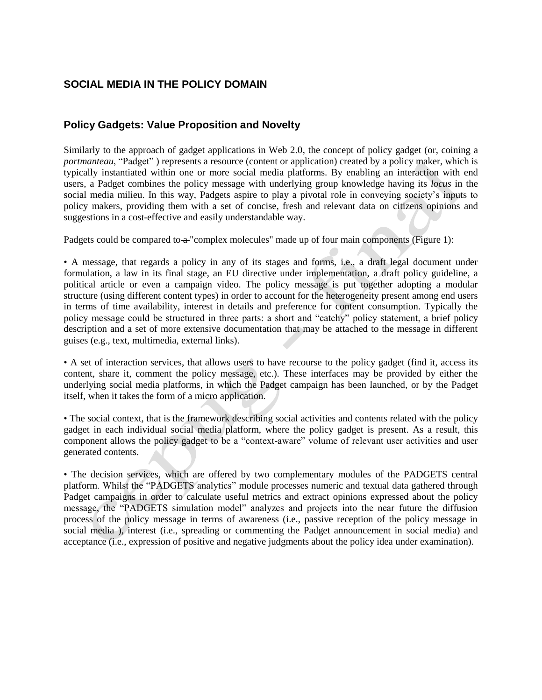# **SOCIAL MEDIA IN THE POLICY DOMAIN**

# **Policy Gadgets: Value Proposition and Novelty**

Similarly to the approach of gadget applications in Web 2.0, the concept of policy gadget (or, coining a *portmanteau*, "Padget" ) represents a resource (content or application) created by a policy maker, which is typically instantiated within one or more social media platforms. By enabling an interaction with end users, a Padget combines the policy message with underlying group knowledge having its *locus* in the social media milieu. In this way, Padgets aspire to play a pivotal role in conveying society's inputs to policy makers, providing them with a set of concise, fresh and relevant data on citizens opinions and suggestions in a cost-effective and easily understandable way.

Padgets could be compared to  $\alpha$  "complex molecules" made up of four main components (Figure 1):

• A message, that regards a policy in any of its stages and forms, i.e., a draft legal document under formulation, a law in its final stage, an EU directive under implementation, a draft policy guideline, a political article or even a campaign video. The policy message is put together adopting a modular structure (using different content types) in order to account for the heterogeneity present among end users in terms of time availability, interest in details and preference for content consumption. Typically the policy message could be structured in three parts: a short and "catchy" policy statement, a brief policy description and a set of more extensive documentation that may be attached to the message in different guises (e.g., text, multimedia, external links).

• A set of interaction services, that allows users to have recourse to the policy gadget (find it, access its content, share it, comment the policy message, etc.). These interfaces may be provided by either the underlying social media platforms, in which the Padget campaign has been launched, or by the Padget itself, when it takes the form of a micro application.

• The social context, that is the framework describing social activities and contents related with the policy gadget in each individual social media platform, where the policy gadget is present. As a result, this component allows the policy gadget to be a "context-aware" volume of relevant user activities and user generated contents.

• The decision services, which are offered by two complementary modules of the PADGETS central platform. Whilst the "PADGETS analytics" module processes numeric and textual data gathered through Padget campaigns in order to calculate useful metrics and extract opinions expressed about the policy message, the "PADGETS simulation model" analyzes and projects into the near future the diffusion process of the policy message in terms of awareness (i.e., passive reception of the policy message in social media ), interest (i.e., spreading or commenting the Padget announcement in social media) and acceptance (i.e., expression of positive and negative judgments about the policy idea under examination).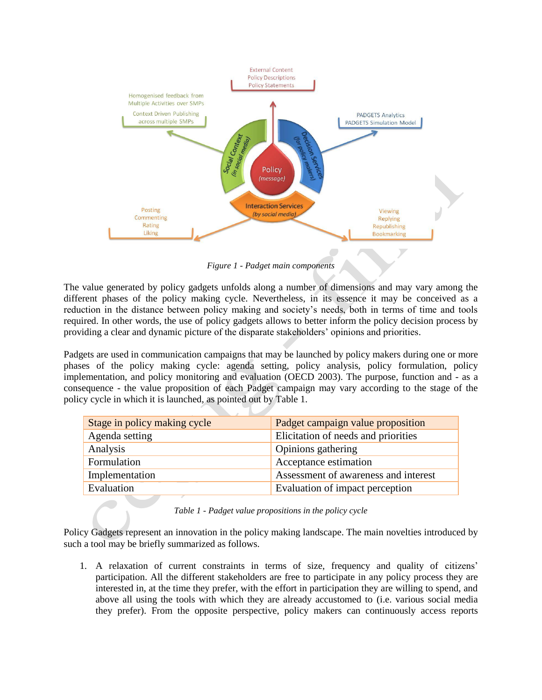

*Figure 1 - Padget main components*

The value generated by policy gadgets unfolds along a number of dimensions and may vary among the different phases of the policy making cycle. Nevertheless, in its essence it may be conceived as a reduction in the distance between policy making and society"s needs, both in terms of time and tools required. In other words, the use of policy gadgets allows to better inform the policy decision process by providing a clear and dynamic picture of the disparate stakeholders" opinions and priorities.

Padgets are used in communication campaigns that may be launched by policy makers during one or more phases of the policy making cycle: agenda setting, policy analysis, policy formulation, policy implementation, and policy monitoring and evaluation (OECD 2003). The purpose, function and - as a consequence - the value proposition of each Padget campaign may vary according to the stage of the policy cycle in which it is launched, as pointed out by Table 1.

| Stage in policy making cycle | Padget campaign value proposition    |
|------------------------------|--------------------------------------|
| Agenda setting               | Elicitation of needs and priorities  |
| Analysis                     | Opinions gathering                   |
| Formulation                  | Acceptance estimation                |
| Implementation               | Assessment of awareness and interest |
| Evaluation                   | Evaluation of impact perception      |

Policy Gadgets represent an innovation in the policy making landscape. The main novelties introduced by such a tool may be briefly summarized as follows.

1. A relaxation of current constraints in terms of size, frequency and quality of citizens" participation. All the different stakeholders are free to participate in any policy process they are interested in, at the time they prefer, with the effort in participation they are willing to spend, and above all using the tools with which they are already accustomed to (i.e. various social media they prefer). From the opposite perspective, policy makers can continuously access reports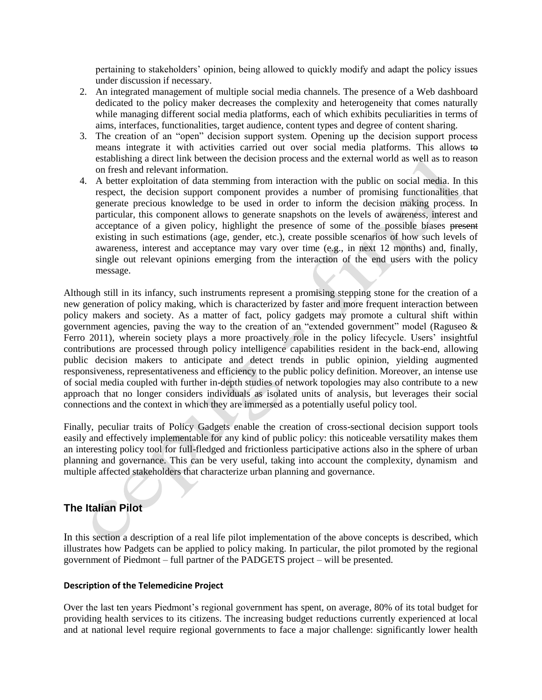pertaining to stakeholders" opinion, being allowed to quickly modify and adapt the policy issues under discussion if necessary.

- 2. An integrated management of multiple social media channels. The presence of a Web dashboard dedicated to the policy maker decreases the complexity and heterogeneity that comes naturally while managing different social media platforms, each of which exhibits peculiarities in terms of aims, interfaces, functionalities, target audience, content types and degree of content sharing.
- 3. The creation of an "open" decision support system. Opening up the decision support process means integrate it with activities carried out over social media platforms. This allows to establishing a direct link between the decision process and the external world as well as to reason on fresh and relevant information.
- 4. A better exploitation of data stemming from interaction with the public on social media. In this respect, the decision support component provides a number of promising functionalities that generate precious knowledge to be used in order to inform the decision making process. In particular, this component allows to generate snapshots on the levels of awareness, interest and acceptance of a given policy, highlight the presence of some of the possible biases present existing in such estimations (age, gender, etc.), create possible scenarios of how such levels of awareness, interest and acceptance may vary over time (e.g., in next 12 months) and, finally, single out relevant opinions emerging from the interaction of the end users with the policy message.

Although still in its infancy, such instruments represent a promising stepping stone for the creation of a new generation of policy making, which is characterized by faster and more frequent interaction between policy makers and society. As a matter of fact, policy gadgets may promote a cultural shift within government agencies, paving the way to the creation of an "extended government" model (Raguseo & Ferro 2011), wherein society plays a more proactively role in the policy lifecycle. Users' insightful contributions are processed through policy intelligence capabilities resident in the back-end, allowing public decision makers to anticipate and detect trends in public opinion, yielding augmented responsiveness, representativeness and efficiency to the public policy definition. Moreover, an intense use of social media coupled with further in-depth studies of network topologies may also contribute to a new approach that no longer considers individuals as isolated units of analysis, but leverages their social connections and the context in which they are immersed as a potentially useful policy tool.

Finally, peculiar traits of Policy Gadgets enable the creation of cross-sectional decision support tools easily and effectively implementable for any kind of public policy: this noticeable versatility makes them an interesting policy tool for full-fledged and frictionless participative actions also in the sphere of urban planning and governance. This can be very useful, taking into account the complexity, dynamism and multiple affected stakeholders that characterize urban planning and governance.

# **The Italian Pilot**

In this section a description of a real life pilot implementation of the above concepts is described, which illustrates how Padgets can be applied to policy making. In particular, the pilot promoted by the regional government of Piedmont – full partner of the PADGETS project – will be presented.

#### **Description of the Telemedicine Project**

Over the last ten years Piedmont"s regional government has spent, on average, 80% of its total budget for providing health services to its citizens. The increasing budget reductions currently experienced at local and at national level require regional governments to face a major challenge: significantly lower health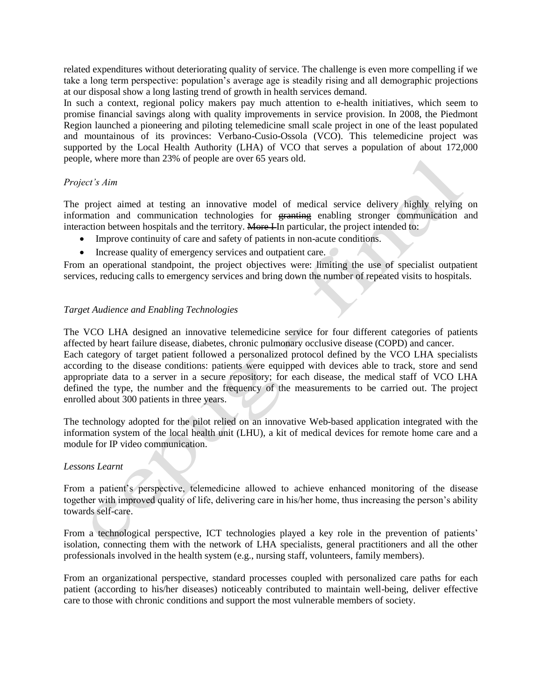related expenditures without deteriorating quality of service. The challenge is even more compelling if we take a long term perspective: population"s average age is steadily rising and all demographic projections at our disposal show a long lasting trend of growth in health services demand.

In such a context, regional policy makers pay much attention to e-health initiatives, which seem to promise financial savings along with quality improvements in service provision. In 2008, the Piedmont Region launched a pioneering and piloting telemedicine small scale project in one of the least populated and mountainous of its provinces: Verbano-Cusio-Ossola (VCO). This telemedicine project was supported by the Local Health Authority (LHA) of VCO that serves a population of about 172,000 people, where more than 23% of people are over 65 years old.

#### *Project's Aim*

The project aimed at testing an innovative model of medical service delivery highly relying on information and communication technologies for granting enabling stronger communication and interaction between hospitals and the territory. More I In particular, the project intended to:

- Improve continuity of care and safety of patients in non-acute conditions.
- Increase quality of emergency services and outpatient care.

From an operational standpoint, the project objectives were: limiting the use of specialist outpatient services, reducing calls to emergency services and bring down the number of repeated visits to hospitals.

#### *Target Audience and Enabling Technologies*

The VCO LHA designed an innovative telemedicine service for four different categories of patients affected by heart failure disease, diabetes, chronic pulmonary occlusive disease (COPD) and cancer. Each category of target patient followed a personalized protocol defined by the VCO LHA specialists according to the disease conditions: patients were equipped with devices able to track, store and send appropriate data to a server in a secure repository; for each disease, the medical staff of VCO LHA defined the type, the number and the frequency of the measurements to be carried out. The project enrolled about 300 patients in three years.

The technology adopted for the pilot relied on an innovative Web-based application integrated with the information system of the local health unit (LHU), a kit of medical devices for remote home care and a module for IP video communication.

#### *Lessons Learnt*

From a patient"s perspective, telemedicine allowed to achieve enhanced monitoring of the disease together with improved quality of life, delivering care in his/her home, thus increasing the person"s ability towards self-care.

From a technological perspective, ICT technologies played a key role in the prevention of patients' isolation, connecting them with the network of LHA specialists, general practitioners and all the other professionals involved in the health system (e.g., nursing staff, volunteers, family members).

From an organizational perspective, standard processes coupled with personalized care paths for each patient (according to his/her diseases) noticeably contributed to maintain well-being, deliver effective care to those with chronic conditions and support the most vulnerable members of society.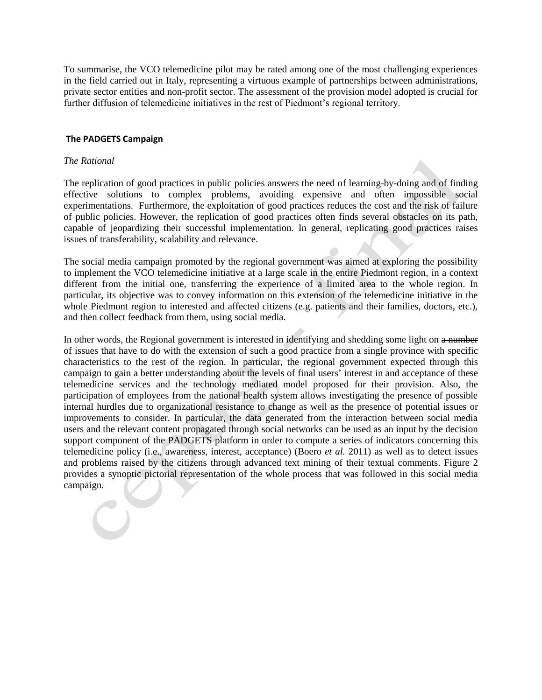To summarise, the VCO telemedicine pilot may be rated among one of the most challenging experiences in the field carried out in Italy, representing a virtuous example of partnerships between administrations, private sector entities and non-profit sector. The assessment of the provision model adopted is crucial for further diffusion of telemedicine initiatives in the rest of Piedmont's regional territory.

#### **The PADGETS Campaign**

#### *The Rational*

The replication of good practices in public policies answers the need of learning-by-doing and of finding effective solutions to complex problems, avoiding expensive and often impossible social experimentations. Furthermore, the exploitation of good practices reduces the cost and the risk of failure of public policies. However, the replication of good practices often finds several obstacles on its path, capable of jeopardizing their successful implementation. In general, replicating good practices raises issues of transferability, scalability and relevance.

The social media campaign promoted by the regional government was aimed at exploring the possibility to implement the VCO telemedicine initiative at a large scale in the entire Piedmont region, in a context different from the initial one, transferring the experience of a limited area to the whole region. In particular, its objective was to convey information on this extension of the telemedicine initiative in the whole Piedmont region to interested and affected citizens (e.g. patients and their families, doctors, etc.), and then collect feedback from them, using social media.

In other words, the Regional government is interested in identifying and shedding some light on a number of issues that have to do with the extension of such a good practice from a single province with specific characteristics to the rest of the region. In particular, the regional government expected through this campaign to gain a better understanding about the levels of final users' interest in and acceptance of these telemedicine services and the technology mediated model proposed for their provision. Also, the participation of employees from the national health system allows investigating the presence of possible internal hurdles due to organizational resistance to change as well as the presence of potential issues or improvements to consider. In particular, the data generated from the interaction between social media users and the relevant content propagated through social networks can be used as an input by the decision support component of the PADGETS platform in order to compute a series of indicators concerning this telemedicine policy (i.e., awareness, interest, acceptance) (Boero *et al.* 2011) as well as to detect issues and problems raised by the citizens through advanced text mining of their textual comments. Figure 2 provides a synoptic pictorial representation of the whole process that was followed in this social media campaign.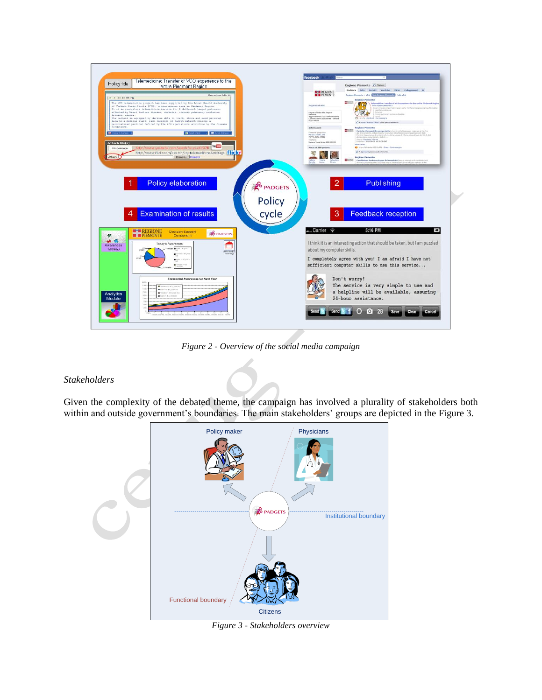

*Figure 2 - Overview of the social media campaign*

# *Stakeholders*

Given the complexity of the debated theme, the campaign has involved a plurality of stakeholders both within and outside government's boundaries. The main stakeholders' groups are depicted in the Figure 3.



*Figure 3 - Stakeholders overview*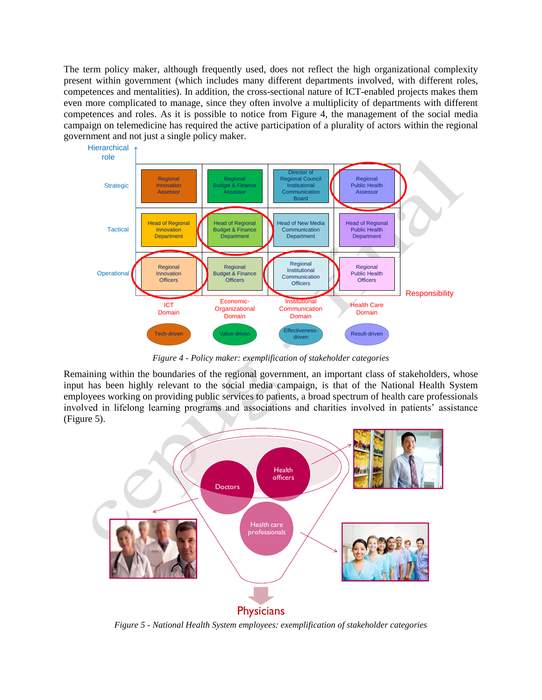The term policy maker, although frequently used, does not reflect the high organizational complexity present within government (which includes many different departments involved, with different roles, competences and mentalities). In addition, the cross-sectional nature of ICT-enabled projects makes them even more complicated to manage, since they often involve a multiplicity of departments with different competences and roles. As it is possible to notice from Figure 4, the management of the social media campaign on telemedicine has required the active participation of a plurality of actors within the regional government and not just a single policy maker.



*Figure 4 - Policy maker: exemplification of stakeholder categories*

Remaining within the boundaries of the regional government, an important class of stakeholders, whose input has been highly relevant to the social media campaign, is that of the National Health System employees working on providing public services to patients, a broad spectrum of health care professionals involved in lifelong learning programs and associations and charities involved in patients' assistance (Figure 5).



*Figure 5 - National Health System employees: exemplification of stakeholder categories*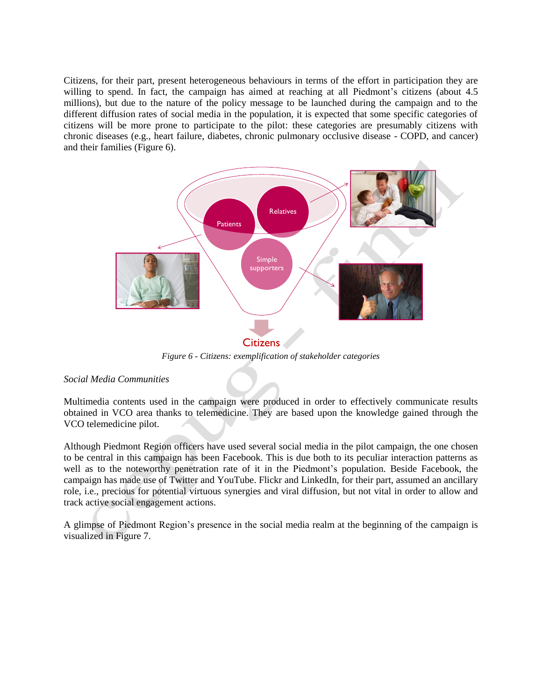Citizens, for their part, present heterogeneous behaviours in terms of the effort in participation they are willing to spend. In fact, the campaign has aimed at reaching at all Piedmont's citizens (about 4.5) millions), but due to the nature of the policy message to be launched during the campaign and to the different diffusion rates of social media in the population, it is expected that some specific categories of citizens will be more prone to participate to the pilot: these categories are presumably citizens with chronic diseases (e.g., heart failure, diabetes, chronic pulmonary occlusive disease - COPD, and cancer) and their families (Figure 6).



*Figure 6 - Citizens: exemplification of stakeholder categories*

# *Social Media Communities*

Multimedia contents used in the campaign were produced in order to effectively communicate results obtained in VCO area thanks to telemedicine. They are based upon the knowledge gained through the VCO telemedicine pilot.

Although Piedmont Region officers have used several social media in the pilot campaign, the one chosen to be central in this campaign has been Facebook. This is due both to its peculiar interaction patterns as well as to the noteworthy penetration rate of it in the Piedmont"s population. Beside Facebook, the campaign has made use of Twitter and YouTube. Flickr and LinkedIn, for their part, assumed an ancillary role, i.e., precious for potential virtuous synergies and viral diffusion, but not vital in order to allow and track active social engagement actions.

A glimpse of Piedmont Region"s presence in the social media realm at the beginning of the campaign is visualized in Figure 7.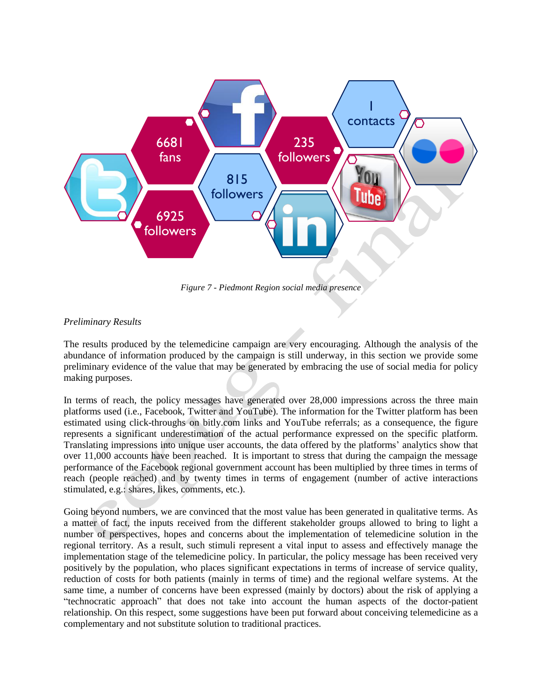

*Figure 7 - Piedmont Region social media presence*

# *Preliminary Results*

The results produced by the telemedicine campaign are very encouraging. Although the analysis of the abundance of information produced by the campaign is still underway, in this section we provide some preliminary evidence of the value that may be generated by embracing the use of social media for policy making purposes.

In terms of reach, the policy messages have generated over 28,000 impressions across the three main platforms used (i.e., Facebook, Twitter and YouTube). The information for the Twitter platform has been estimated using click-throughs on bitly.com links and YouTube referrals; as a consequence, the figure represents a significant underestimation of the actual performance expressed on the specific platform. Translating impressions into unique user accounts, the data offered by the platforms" analytics show that over 11,000 accounts have been reached. It is important to stress that during the campaign the message performance of the Facebook regional government account has been multiplied by three times in terms of reach (people reached) and by twenty times in terms of engagement (number of active interactions stimulated, e.g.: shares, likes, comments, etc.).

Going beyond numbers, we are convinced that the most value has been generated in qualitative terms. As a matter of fact, the inputs received from the different stakeholder groups allowed to bring to light a number of perspectives, hopes and concerns about the implementation of telemedicine solution in the regional territory. As a result, such stimuli represent a vital input to assess and effectively manage the implementation stage of the telemedicine policy. In particular, the policy message has been received very positively by the population, who places significant expectations in terms of increase of service quality, reduction of costs for both patients (mainly in terms of time) and the regional welfare systems. At the same time, a number of concerns have been expressed (mainly by doctors) about the risk of applying a "technocratic approach" that does not take into account the human aspects of the doctor-patient relationship. On this respect, some suggestions have been put forward about conceiving telemedicine as a complementary and not substitute solution to traditional practices.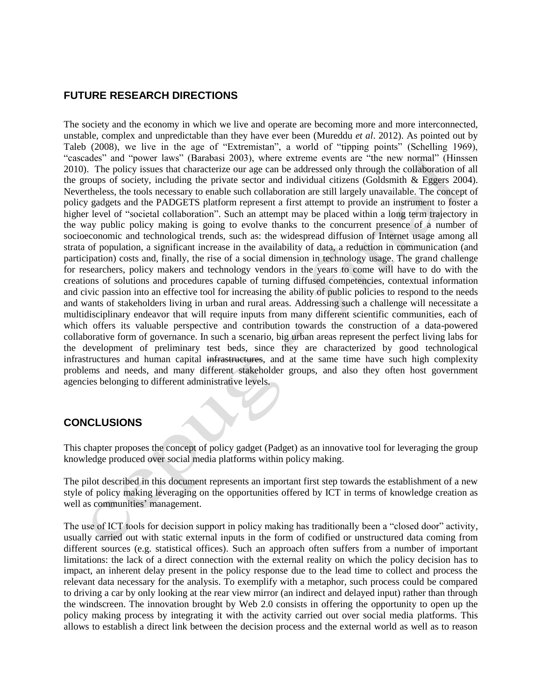# **FUTURE RESEARCH DIRECTIONS**

The society and the economy in which we live and operate are becoming more and more interconnected, unstable, complex and unpredictable than they have ever been (Mureddu *et al*. 2012). As pointed out by Taleb (2008), we live in the age of "Extremistan", a world of "tipping points" (Schelling 1969), "cascades" and "power laws" (Barabasi 2003), where extreme events are "the new normal" (Hinssen 2010). The policy issues that characterize our age can be addressed only through the collaboration of all the groups of society, including the private sector and individual citizens (Goldsmith & Eggers 2004). Nevertheless, the tools necessary to enable such collaboration are still largely unavailable. The concept of policy gadgets and the PADGETS platform represent a first attempt to provide an instrument to foster a higher level of "societal collaboration". Such an attempt may be placed within a long term trajectory in the way public policy making is going to evolve thanks to the concurrent presence of a number of socioeconomic and technological trends, such as: the widespread diffusion of Internet usage among all strata of population, a significant increase in the availability of data, a reduction in communication (and participation) costs and, finally, the rise of a social dimension in technology usage. The grand challenge for researchers, policy makers and technology vendors in the years to come will have to do with the creations of solutions and procedures capable of turning diffused competencies, contextual information and civic passion into an effective tool for increasing the ability of public policies to respond to the needs and wants of stakeholders living in urban and rural areas. Addressing such a challenge will necessitate a multidisciplinary endeavor that will require inputs from many different scientific communities, each of which offers its valuable perspective and contribution towards the construction of a data-powered collaborative form of governance. In such a scenario, big urban areas represent the perfect living labs for the development of preliminary test beds, since they are characterized by good technological infrastructures and human capital infrastructures, and at the same time have such high complexity problems and needs, and many different stakeholder groups, and also they often host government agencies belonging to different administrative levels.

# **CONCLUSIONS**

This chapter proposes the concept of policy gadget (Padget) as an innovative tool for leveraging the group knowledge produced over social media platforms within policy making.

The pilot described in this document represents an important first step towards the establishment of a new style of policy making leveraging on the opportunities offered by ICT in terms of knowledge creation as well as communities' management.

The use of ICT tools for decision support in policy making has traditionally been a "closed door" activity, usually carried out with static external inputs in the form of codified or unstructured data coming from different sources (e.g. statistical offices). Such an approach often suffers from a number of important limitations: the lack of a direct connection with the external reality on which the policy decision has to impact, an inherent delay present in the policy response due to the lead time to collect and process the relevant data necessary for the analysis. To exemplify with a metaphor, such process could be compared to driving a car by only looking at the rear view mirror (an indirect and delayed input) rather than through the windscreen. The innovation brought by Web 2.0 consists in offering the opportunity to open up the policy making process by integrating it with the activity carried out over social media platforms. This allows to establish a direct link between the decision process and the external world as well as to reason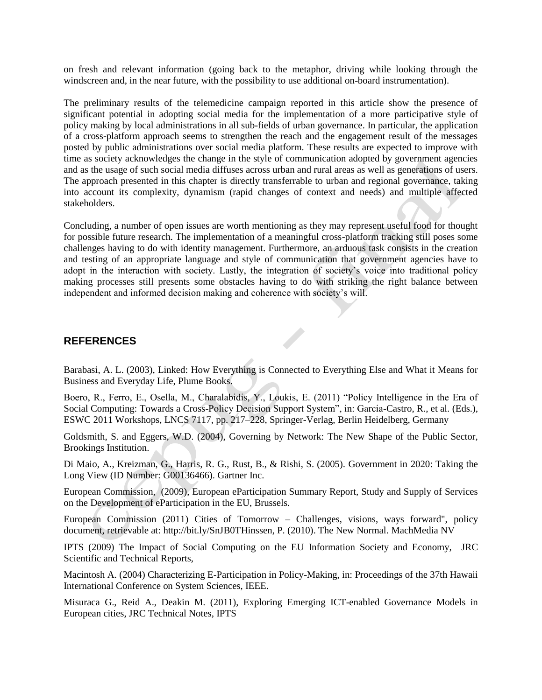on fresh and relevant information (going back to the metaphor, driving while looking through the windscreen and, in the near future, with the possibility to use additional on-board instrumentation).

The preliminary results of the telemedicine campaign reported in this article show the presence of significant potential in adopting social media for the implementation of a more participative style of policy making by local administrations in all sub-fields of urban governance. In particular, the application of a cross-platform approach seems to strengthen the reach and the engagement result of the messages posted by public administrations over social media platform. These results are expected to improve with time as society acknowledges the change in the style of communication adopted by government agencies and as the usage of such social media diffuses across urban and rural areas as well as generations of users. The approach presented in this chapter is directly transferrable to urban and regional governance, taking into account its complexity, dynamism (rapid changes of context and needs) and multiple affected stakeholders.

Concluding, a number of open issues are worth mentioning as they may represent useful food for thought for possible future research. The implementation of a meaningful cross-platform tracking still poses some challenges having to do with identity management. Furthermore, an arduous task consists in the creation and testing of an appropriate language and style of communication that government agencies have to adopt in the interaction with society. Lastly, the integration of society"s voice into traditional policy making processes still presents some obstacles having to do with striking the right balance between independent and informed decision making and coherence with society's will.

# **REFERENCES**

Barabasi, A. L. (2003), Linked: How Everything is Connected to Everything Else and What it Means for Business and Everyday Life, Plume Books.

Boero, R., Ferro, E., Osella, M., Charalabidis, Y., Loukis, E. (2011) "Policy Intelligence in the Era of Social Computing: Towards a Cross-Policy Decision Support System", in: Garcia-Castro, R., et al. (Eds.), ESWC 2011 Workshops, LNCS 7117, pp. 217–228, Springer-Verlag, Berlin Heidelberg, Germany

Goldsmith, S. and Eggers, W.D. (2004), Governing by Network: The New Shape of the Public Sector, Brookings Institution.

Di Maio, A., Kreizman, G., Harris, R. G., Rust, B., & Rishi, S. (2005). Government in 2020: Taking the Long View (ID Number: G00136466). Gartner Inc.

European Commission, (2009), European eParticipation Summary Report, Study and Supply of Services on the Development of eParticipation in the EU, Brussels.

European Commission (2011) Cities of Tomorrow – Challenges, visions, ways forward", policy document, retrievable at: http://bit.ly/SnJB0THinssen, P. (2010). The New Normal. MachMedia NV

IPTS (2009) The Impact of Social Computing on the EU Information Society and Economy, JRC Scientific and Technical Reports,

Macintosh A. (2004) Characterizing E-Participation in Policy-Making, in: Proceedings of the 37th Hawaii International Conference on System Sciences, IEEE.

Misuraca G., Reid A., Deakin M. (2011), Exploring Emerging ICT-enabled Governance Models in European cities, JRC Technical Notes, IPTS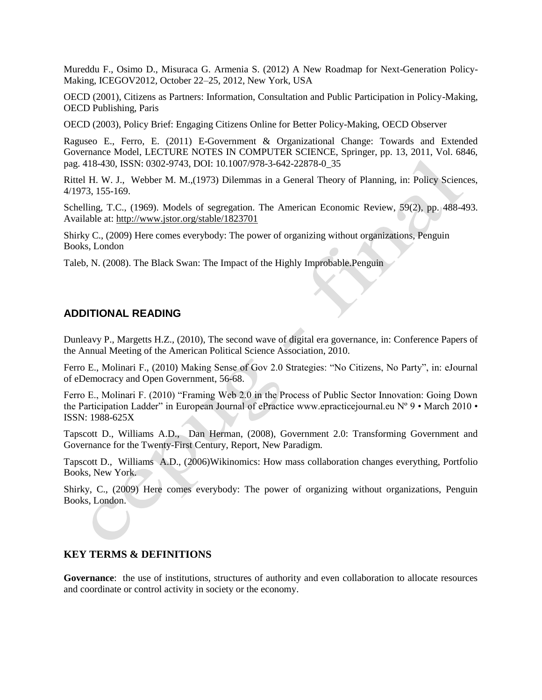Mureddu F., Osimo D., Misuraca G. Armenia S. (2012) A New Roadmap for Next-Generation Policy-Making, ICEGOV2012, October 22–25, 2012, New York, USA

OECD (2001), Citizens as Partners: Information, Consultation and Public Participation in Policy-Making, OECD Publishing, Paris

OECD (2003), Policy Brief: Engaging Citizens Online for Better Policy-Making, OECD Observer

Raguseo E., Ferro, E. (2011) E-Government & Organizational Change: Towards and Extended Governance Model, LECTURE NOTES IN COMPUTER SCIENCE, Springer, pp. 13, 2011, Vol. 6846, pag. 418-430, ISSN: 0302-9743, DOI: [10.1007/978-3-642-22878-0\\_35](http://dx.doi.org/10.1007/978-3-642-22878-0_35)

Rittel H. W. J., Webber M. M.,(1973) Dilemmas in a General Theory of Planning, in: Policy Sciences, 4/1973, 155-169.

Schelling, T.C., (1969). Models of segregation. The American Economic Review, 59(2), pp. 488-493. Available at: <http://www.jstor.org/stable/1823701>

Shirky C., (2009) Here comes everybody: The power of organizing without organizations, Penguin Books, London

Taleb, N. (2008). The Black Swan: The Impact of the Highly Improbable.Penguin

# **ADDITIONAL READING**

Dunleavy P., Margetts H.Z., (2010), The second wave of digital era governance, in: Conference Papers of the Annual Meeting of the American Political Science Association, 2010.

Ferro E., Molinari F., (2010) Making Sense of Gov 2.0 Strategies: "No Citizens, No Party", in: eJournal of eDemocracy and Open Government, 56-68.

Ferro E., Molinari F. (2010) "Framing Web 2.0 in the Process of Public Sector Innovation: Going Down the Participation Ladder" in European Journal of ePractice www.epracticejournal.eu Nº 9 • March 2010 • ISSN: 1988-625X

Tapscott D., Williams A.D., Dan Herman, (2008), Government 2.0: Transforming Government and Governance for the Twenty-First Century, Report, New Paradigm.

Tapscott D., Williams A.D., (2006)Wikinomics: How mass collaboration changes everything, Portfolio Books, New York.

Shirky, C., (2009) Here comes everybody: The power of organizing without organizations, Penguin Books, London.

#### **KEY TERMS & DEFINITIONS**

**Governance**: the use of institutions, structures of authority and even collaboration to allocate resources and coordinate or control activity in society or the economy.